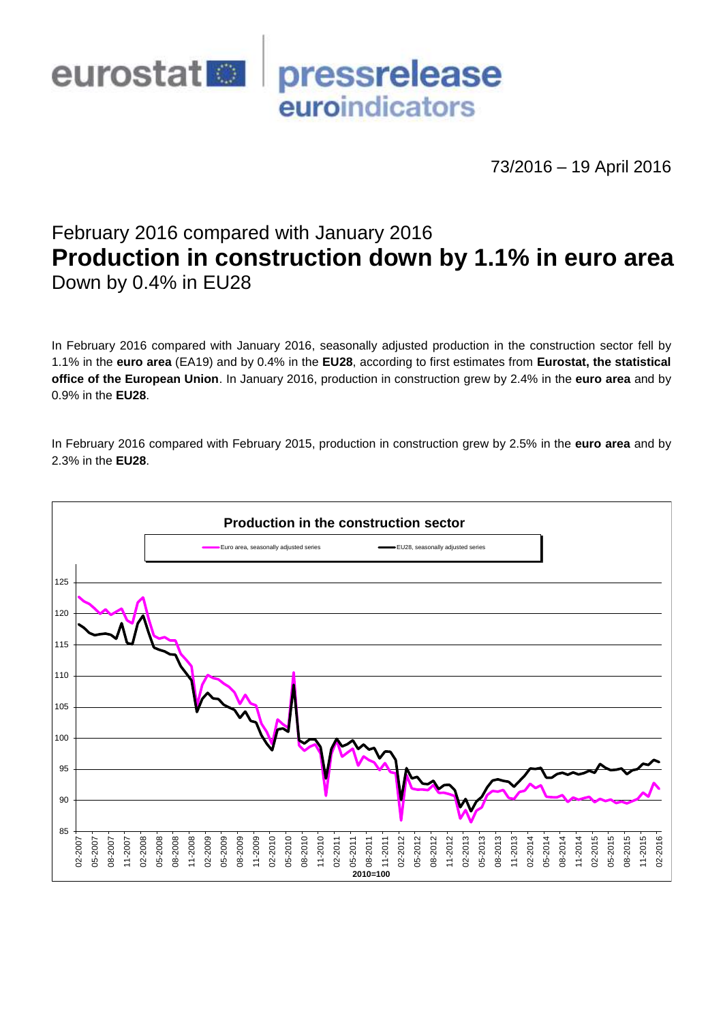

73/2016 – 19 April 2016

# February 2016 compared with January 2016 **Production in construction down by 1.1% in euro area** Down by 0.4% in EU28

In February 2016 compared with January 2016, seasonally adjusted production in the construction sector fell by 1.1% in the **euro area** (EA19) and by 0.4% in the **EU28**, according to first estimates from **Eurostat, the statistical office of the European Union**. In January 2016, production in construction grew by 2.4% in the **euro area** and by 0.9% in the **EU28**.

In February 2016 compared with February 2015, production in construction grew by 2.5% in the **euro area** and by 2.3% in the **EU28**.

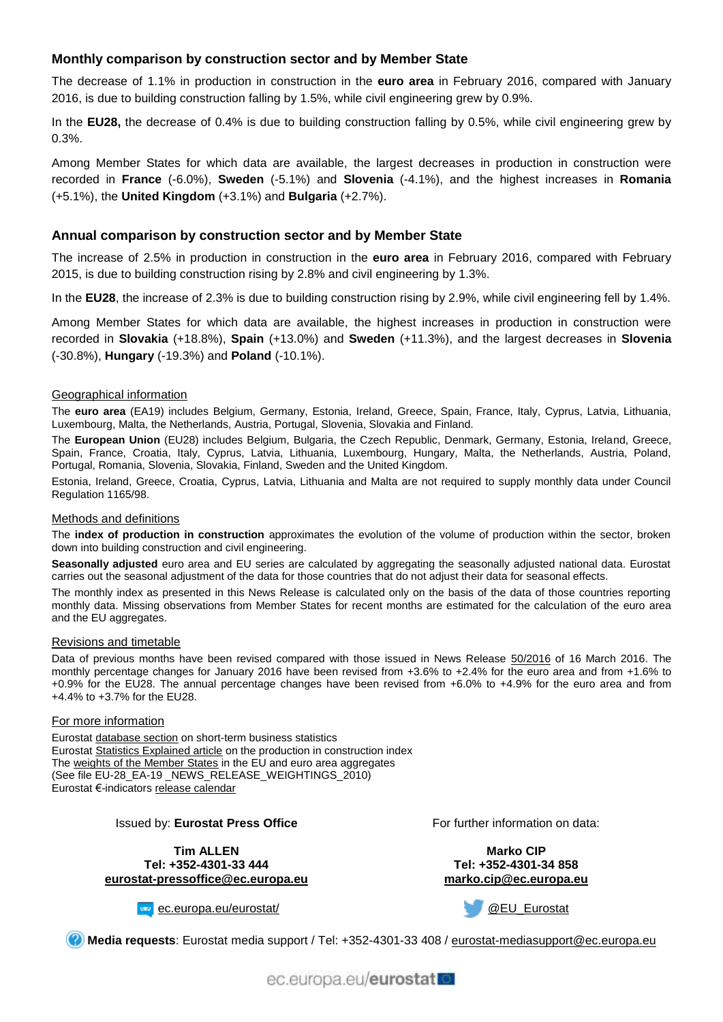# **Monthly comparison by construction sector and by Member State**

The decrease of 1.1% in production in construction in the **euro area** in February 2016, compared with January 2016, is due to building construction falling by 1.5%, while civil engineering grew by 0.9%.

In the **EU28,** the decrease of 0.4% is due to building construction falling by 0.5%, while civil engineering grew by 0.3%.

Among Member States for which data are available, the largest decreases in production in construction were recorded in **France** (-6.0%), **Sweden** (-5.1%) and **Slovenia** (-4.1%), and the highest increases in **Romania** (+5.1%), the **United Kingdom** (+3.1%) and **Bulgaria** (+2.7%).

#### **Annual comparison by construction sector and by Member State**

The increase of 2.5% in production in construction in the **euro area** in February 2016, compared with February 2015, is due to building construction rising by 2.8% and civil engineering by 1.3%.

In the **EU28**, the increase of 2.3% is due to building construction rising by 2.9%, while civil engineering fell by 1.4%.

Among Member States for which data are available, the highest increases in production in construction were recorded in **Slovakia** (+18.8%), **Spain** (+13.0%) and **Sweden** (+11.3%), and the largest decreases in **Slovenia** (-30.8%), **Hungary** (-19.3%) and **Poland** (-10.1%).

#### Geographical information

The **euro area** (EA19) includes Belgium, Germany, Estonia, Ireland, Greece, Spain, France, Italy, Cyprus, Latvia, Lithuania, Luxembourg, Malta, the Netherlands, Austria, Portugal, Slovenia, Slovakia and Finland.

The **European Union** (EU28) includes Belgium, Bulgaria, the Czech Republic, Denmark, Germany, Estonia, Ireland, Greece, Spain, France, Croatia, Italy, Cyprus, Latvia, Lithuania, Luxembourg, Hungary, Malta, the Netherlands, Austria, Poland, Portugal, Romania, Slovenia, Slovakia, Finland, Sweden and the United Kingdom.

Estonia, Ireland, Greece, Croatia, Cyprus, Latvia, Lithuania and Malta are not required to supply monthly data under Council Regulation 1165/98.

#### Methods and definitions

The **index of production in construction** approximates the evolution of the volume of production within the sector, broken down into building construction and civil engineering.

**Seasonally adjusted** euro area and EU series are calculated by aggregating the seasonally adjusted national data. Eurostat carries out the seasonal adjustment of the data for those countries that do not adjust their data for seasonal effects.

The monthly index as presented in this News Release is calculated only on the basis of the data of those countries reporting monthly data. Missing observations from Member States for recent months are estimated for the calculation of the euro area and the EU aggregates.

#### Revisions and timetable

Data of previous months have been revised compared with those issued in News Release [50/2016](http://ec.europa.eu/eurostat/documents/2995521/7209246/4-16032016-AP-EN.pdf/8b1b44e6-6b45-4297-bfd8-400a8885c241) of 16 March 2016. The monthly percentage changes for January 2016 have been revised from +3.6% to +2.4% for the euro area and from +1.6% to +0.9% for the EU28. The annual percentage changes have been revised from +6.0% to +4.9% for the euro area and from +4.4% to +3.7% for the EU28.

#### For more information

Eurosta[t database section](http://ec.europa.eu/eurostat/web/short-term-business-statistics/data/database) on short-term business statistics Eurosta[t Statistics Explained article](http://ec.europa.eu/eurostat/statistics-explained/index.php/Construction_production_(volume)_index_overview) on the production in construction index Th[e weights of the Member States](https://circabc.europa.eu/w/browse/5e6d1e48-056c-4c6a-8278-3ab138bcf575) in the EU and euro area aggregates (See file EU-28\_EA-19 \_NEWS\_RELEASE\_WEIGHTINGS\_2010) Eurostat €-indicator[s release calendar](http://ec.europa.eu/eurostat/news/release-calendar)

#### Issued by: **Eurostat Press Office**

**Tim ALLEN Tel: +352-4301-33 444 [eurostat-pressoffice@ec.europa.eu](mailto:eurostat-pressoffice@ec.europa.eu)** For further information on data:

**Marko CIP Tel: +352-4301-34 858 [marko.cip@ec.europa.eu](mailto:marko.cip@ec.europa.eu)**

[ec.europa.eu/eurostat/](http://ec.europa.eu/eurostat/)

[@EU\\_Eurostat](http://twitter.com/EU_Eurostat)

**Media requests**: Eurostat media support / Tel: +352-4301-33 408 / [eurostat-mediasupport@ec.europa.eu](mailto:eurostat-mediasupport@ec.europa.eu)

ec.europa.eu/eurostat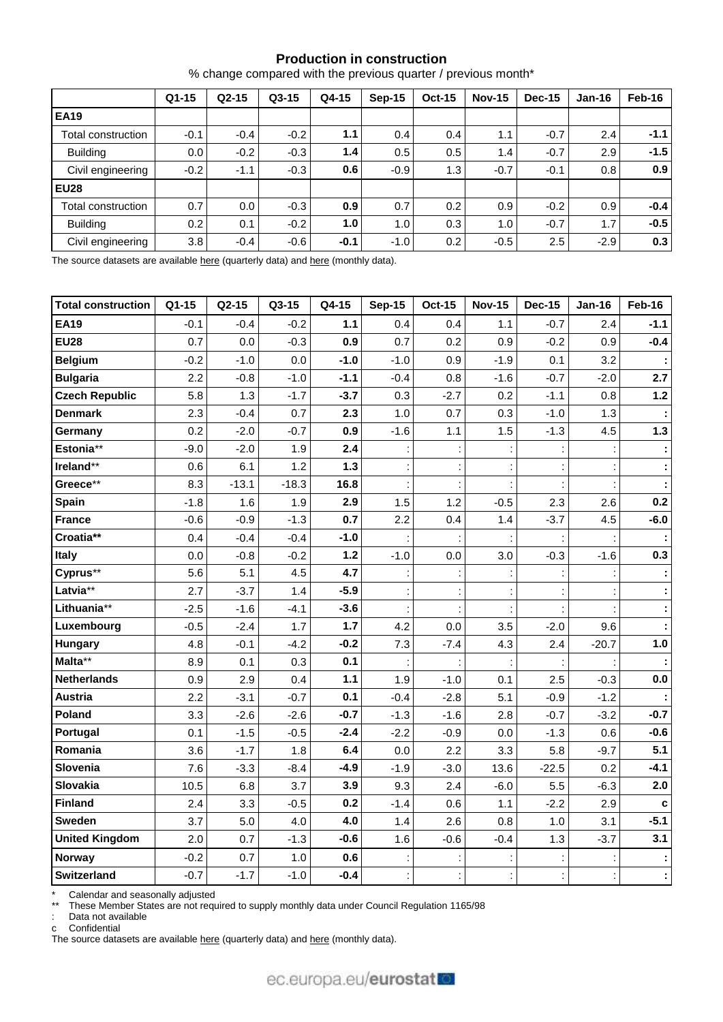# **Production in construction**

|  | % change compared with the previous quarter / previous month* |  |  |  |  |
|--|---------------------------------------------------------------|--|--|--|--|
|--|---------------------------------------------------------------|--|--|--|--|

|                    | $Q1 - 15$ | $Q2-15$ | $Q3-15$ | Q4-15  | Sep-15 | <b>Oct-15</b> | <b>Nov-15</b> | Dec-15 | $Jan-16$ | Feb-16 |
|--------------------|-----------|---------|---------|--------|--------|---------------|---------------|--------|----------|--------|
| <b>EA19</b>        |           |         |         |        |        |               |               |        |          |        |
| Total construction | $-0.1$    | $-0.4$  | $-0.2$  | 1.1    | 0.4    | 0.4           | 1.1           | $-0.7$ | 2.4      | $-1.1$ |
| <b>Building</b>    | 0.0       | $-0.2$  | $-0.3$  | 1.4    | 0.5    | 0.5           | 1.4           | $-0.7$ | 2.9      | $-1.5$ |
| Civil engineering  | $-0.2$    | $-1.1$  | $-0.3$  | 0.6    | $-0.9$ | 1.3           | $-0.7$        | $-0.1$ | 0.8      | 0.9    |
| <b>EU28</b>        |           |         |         |        |        |               |               |        |          |        |
| Total construction | 0.7       | 0.0     | $-0.3$  | 0.9    | 0.7    | 0.2           | 0.9           | $-0.2$ | 0.9      | $-0.4$ |
| <b>Building</b>    | 0.2       | 0.1     | $-0.2$  | 1.0    | 1.0    | 0.3           | 1.0           | $-0.7$ | 1.7      | $-0.5$ |
| Civil engineering  | 3.8       | $-0.4$  | $-0.6$  | $-0.1$ | $-1.0$ | 0.2           | $-0.5$        | 2.5    | $-2.9$   | 0.3    |

The source datasets are available [here](http://appsso.eurostat.ec.europa.eu/nui/show.do?query=BOOKMARK_DS-069599_QID_-67365B53_UID_-3F171EB0&layout=TIME,C,X,0;GEO,L,Y,0;NACE_R2,L,Y,1;INDIC_BT,L,Z,0;S_ADJ,C,Z,1;UNIT,L,Z,2;INDICATORS,C,Z,3;&zSelection=DS-069599INDIC_BT,PROD;DS-069599S_ADJ,SWDA;DS-069599INDICATORS,OBS_FLAG;DS-069599UNIT,PCH_PRE;&rankName1=UNIT_1_2_-1_2&rankName2=INDIC-BT_1_2_-1_2&rankName3=INDICATORS_1_2_-1_2&rankName4=S-ADJ_1_2_-1_2&rankName5=TIME_1_0_0_0&rankName6=GEO_1_0_0_1&rankName7=NACE-R2_1_0_1_1&sortR=ASC_-1_FIRST&sortC=ASC_-1_FIRST&rStp=&cStp=&rDCh=&cDCh=&rDM=true&cDM=true&footnes=false&empty=false&wai=false&time_mode=ROLLING&time_most_recent=false&lang=EN&cfo=%23%23%23%2C%23%23%23.%23%23%23) (quarterly data) and here (monthly data).

| <b>Total construction</b> | Q1-15  | $Q2-15$ | Q3-15   | Q4-15  | <b>Sep-15</b> | <b>Oct-15</b> | <b>Nov-15</b> | <b>Dec-15</b>  | <b>Jan-16</b> | Feb-16       |
|---------------------------|--------|---------|---------|--------|---------------|---------------|---------------|----------------|---------------|--------------|
| <b>EA19</b>               | $-0.1$ | $-0.4$  | $-0.2$  | 1.1    | 0.4           | 0.4           | 1.1           | $-0.7$         | 2.4           | $-1.1$       |
| <b>EU28</b>               | 0.7    | 0.0     | $-0.3$  | 0.9    | 0.7           | 0.2           | 0.9           | $-0.2$         | 0.9           | $-0.4$       |
| <b>Belgium</b>            | $-0.2$ | $-1.0$  | 0.0     | $-1.0$ | $-1.0$        | 0.9           | $-1.9$        | 0.1            | 3.2           |              |
| <b>Bulgaria</b>           | 2.2    | $-0.8$  | $-1.0$  | $-1.1$ | $-0.4$        | 0.8           | $-1.6$        | $-0.7$         | $-2.0$        | 2.7          |
| <b>Czech Republic</b>     | 5.8    | 1.3     | $-1.7$  | $-3.7$ | 0.3           | $-2.7$        | 0.2           | $-1.1$         | 0.8           | $1.2$        |
| <b>Denmark</b>            | 2.3    | $-0.4$  | 0.7     | 2.3    | 1.0           | 0.7           | 0.3           | $-1.0$         | 1.3           |              |
| Germany                   | 0.2    | $-2.0$  | $-0.7$  | 0.9    | $-1.6$        | 1.1           | 1.5           | $-1.3$         | 4.5           | $1.3$        |
| Estonia**                 | $-9.0$ | $-2.0$  | 1.9     | 2.4    |               |               |               |                |               |              |
| Ireland**                 | 0.6    | 6.1     | 1.2     | $1.3$  |               |               |               |                |               |              |
| Greece**                  | 8.3    | $-13.1$ | $-18.3$ | 16.8   |               |               |               |                |               |              |
| Spain                     | $-1.8$ | 1.6     | 1.9     | 2.9    | 1.5           | 1.2           | $-0.5$        | 2.3            | 2.6           | 0.2          |
| <b>France</b>             | $-0.6$ | $-0.9$  | $-1.3$  | 0.7    | 2.2           | 0.4           | 1.4           | $-3.7$         | 4.5           | $-6.0$       |
| Croatia**                 | 0.4    | $-0.4$  | $-0.4$  | $-1.0$ |               |               |               |                |               |              |
| Italy                     | 0.0    | $-0.8$  | $-0.2$  | $1.2$  | $-1.0$        | 0.0           | 3.0           | $-0.3$         | $-1.6$        | 0.3          |
| Cyprus**                  | 5.6    | 5.1     | 4.5     | 4.7    |               |               |               |                |               |              |
| Latvia**                  | 2.7    | $-3.7$  | 1.4     | $-5.9$ |               |               |               |                |               |              |
| Lithuania**               | $-2.5$ | $-1.6$  | $-4.1$  | $-3.6$ |               |               |               |                |               |              |
| Luxembourg                | $-0.5$ | $-2.4$  | 1.7     | 1.7    | 4.2           | 0.0           | 3.5           | $-2.0$         | 9.6           |              |
| <b>Hungary</b>            | 4.8    | $-0.1$  | $-4.2$  | $-0.2$ | 7.3           | $-7.4$        | 4.3           | 2.4            | $-20.7$       | 1.0          |
| Malta**                   | 8.9    | 0.1     | 0.3     | 0.1    |               |               |               |                |               |              |
| <b>Netherlands</b>        | 0.9    | 2.9     | 0.4     | $1.1$  | 1.9           | $-1.0$        | 0.1           | 2.5            | $-0.3$        | 0.0          |
| Austria                   | 2.2    | $-3.1$  | $-0.7$  | 0.1    | $-0.4$        | $-2.8$        | 5.1           | $-0.9$         | $-1.2$        |              |
| Poland                    | 3.3    | $-2.6$  | $-2.6$  | $-0.7$ | $-1.3$        | $-1.6$        | 2.8           | $-0.7$         | $-3.2$        | $-0.7$       |
| Portugal                  | 0.1    | $-1.5$  | $-0.5$  | $-2.4$ | $-2.2$        | $-0.9$        | 0.0           | $-1.3$         | 0.6           | $-0.6$       |
| Romania                   | 3.6    | $-1.7$  | 1.8     | 6.4    | 0.0           | 2.2           | 3.3           | 5.8            | $-9.7$        | 5.1          |
| Slovenia                  | 7.6    | $-3.3$  | $-8.4$  | $-4.9$ | $-1.9$        | $-3.0$        | 13.6          | $-22.5$        | 0.2           | $-4.1$       |
| Slovakia                  | 10.5   | 6.8     | 3.7     | 3.9    | 9.3           | 2.4           | $-6.0$        | 5.5            | $-6.3$        | 2.0          |
| Finland                   | 2.4    | 3.3     | $-0.5$  | 0.2    | $-1.4$        | 0.6           | 1.1           | $-2.2$         | 2.9           | $\mathbf{c}$ |
| Sweden                    | 3.7    | 5.0     | 4.0     | 4.0    | 1.4           | 2.6           | 0.8           | 1.0            | 3.1           | $-5.1$       |
| <b>United Kingdom</b>     | 2.0    | 0.7     | $-1.3$  | $-0.6$ | 1.6           | $-0.6$        | $-0.4$        | 1.3            | $-3.7$        | 3.1          |
| <b>Norway</b>             | $-0.2$ | 0.7     | 1.0     | 0.6    |               |               |               |                |               |              |
| Switzerland               | $-0.7$ | $-1.7$  | $-1.0$  | $-0.4$ |               |               |               | $\ddot{\cdot}$ |               |              |

\* Calendar and seasonally adjusted

\*\* These Member States are not required to supply monthly data under Council Regulation 1165/98

: Data not available

c Confidential

The source datasets are available [here](http://appsso.eurostat.ec.europa.eu/nui/show.do?query=BOOKMARK_DS-069599_QID_-1BB314F4_UID_-3F171EB0&layout=TIME,C,X,0;GEO,L,Y,0;INDIC_BT,L,Z,0;S_ADJ,C,Z,1;UNIT,L,Z,2;NACE_R2,L,Z,3;INDICATORS,C,Z,4;&zSelection=DS-069599NACE_R2,F;DS-069599INDIC_BT,PROD;DS-069599S_ADJ,SWDA;DS-069599INDICATORS,OBS_FLAG;DS-069599UNIT,PCH_PRE;&rankName1=UNIT_1_2_-1_2&rankName2=INDIC-BT_1_2_-1_2&rankName3=INDICATORS_1_2_-1_2&rankName4=S-ADJ_1_2_-1_2&rankName5=NACE-R2_1_2_-1_2&rankName6=TIME_1_0_0_0&rankName7=GEO_1_0_0_1&sortR=ASC_-1_FIRST&sortC=ASC_-1_FIRST&rStp=&cStp=&rDCh=&cDCh=&rDM=true&cDM=true&footnes=false&empty=false&wai=false&time_mode=ROLLING&time_most_recent=false&lang=EN&cfo=%23%23%23%2C%23%23%23.%23%23%23) (quarterly data) and here (monthly data).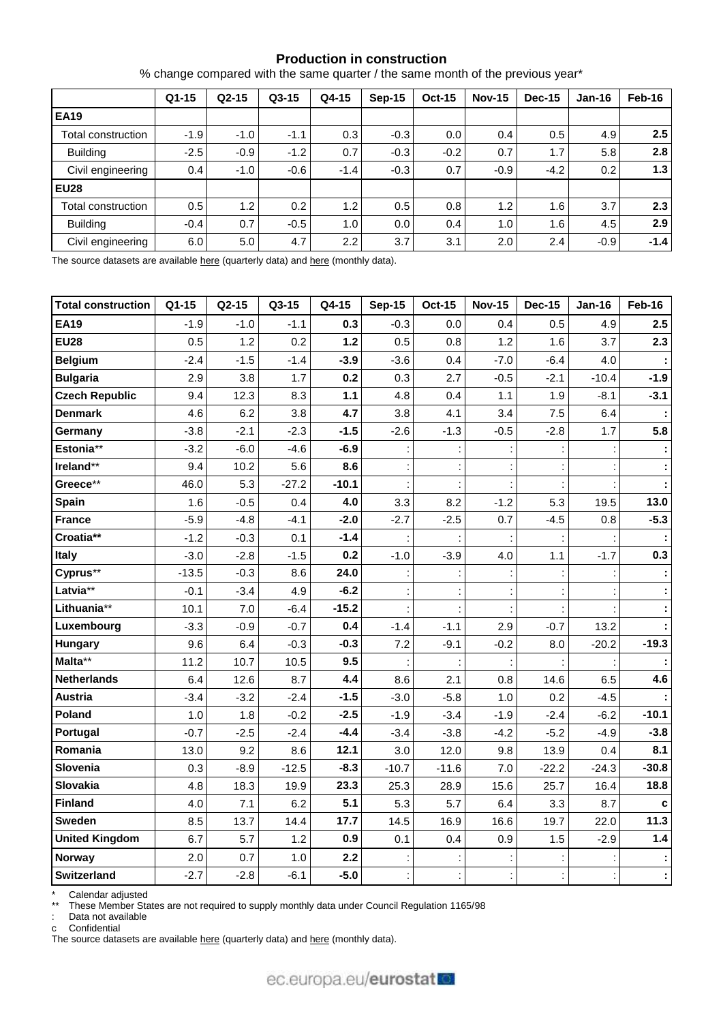## **Production in construction**

% change compared with the same quarter / the same month of the previous year\*

|                    | $Q1 - 15$ | $Q2-15$          | $Q3-15$ | Q4-15            | $Sep-15$ | <b>Oct-15</b> | <b>Nov-15</b> | <b>Dec-15</b> | $Jan-16$ | Feb-16           |
|--------------------|-----------|------------------|---------|------------------|----------|---------------|---------------|---------------|----------|------------------|
| <b>EA19</b>        |           |                  |         |                  |          |               |               |               |          |                  |
| Total construction | $-1.9$    | $-1.0$           | $-1.1$  | 0.3              | $-0.3$   | 0.0           | 0.4           | 0.5           | 4.9      | 2.5              |
| <b>Building</b>    | $-2.5$    | $-0.9$           | $-1.2$  | 0.7              | $-0.3$   | $-0.2$        | 0.7           | 1.7           | 5.8      | 2.8              |
| Civil engineering  | 0.4       | $-1.0$           | $-0.6$  | $-1.4$           | $-0.3$   | 0.7           | $-0.9$        | $-4.2$        | 0.2      | 1.3 <sub>l</sub> |
| <b>EU28</b>        |           |                  |         |                  |          |               |               |               |          |                  |
| Total construction | 0.5       | 1.2 <sub>1</sub> | 0.2     | 1.2 <sub>1</sub> | 0.5      | 0.8           | 1.2           | 1.6           | 3.7      | 2.3              |
| <b>Building</b>    | $-0.4$    | 0.7              | $-0.5$  | 1.0              | 0.0      | 0.4           | 1.0           | 1.6           | 4.5      | 2.9              |
| Civil engineering  | 6.0       | 5.0              | 4.7     | 2.2              | 3.7      | 3.1           | 2.0           | 2.4           | $-0.9$   | $-1.4$           |

The source datasets are available [here](http://appsso.eurostat.ec.europa.eu/nui/show.do?query=BOOKMARK_DS-069599_QID_-AB4F977_UID_-3F171EB0&layout=TIME,C,X,0;GEO,L,Y,0;NACE_R2,L,Y,1;INDIC_BT,L,Z,0;S_ADJ,C,Z,1;UNIT,L,Z,2;INDICATORS,C,Z,3;&zSelection=DS-069599INDIC_BT,PROD;DS-069599S_ADJ,SWDA;DS-069599INDICATORS,OBS_FLAG;DS-069599UNIT,PCH_PRE;&rankName1=UNIT_1_2_-1_2&rankName2=INDIC-BT_1_2_-1_2&rankName3=INDICATORS_1_2_-1_2&rankName4=S-ADJ_1_2_-1_2&rankName5=TIME_1_0_0_0&rankName6=GEO_1_0_0_1&rankName7=NACE-R2_1_0_1_1&sortR=ASC_-1_FIRST&sortC=ASC_-1_FIRST&rStp=&cStp=&rDCh=&cDCh=&rDM=true&cDM=true&footnes=false&empty=false&wai=false&time_mode=ROLLING&time_most_recent=false&lang=EN&cfo=%23%23%23%2C%23%23%23.%23%23%23) (quarterly data) and here (monthly data).

| <b>Total construction</b> | Q1-15   | Q2-15  | Q3-15   | Q4-15   | <b>Sep-15</b> | <b>Oct-15</b> | <b>Nov-15</b> | <b>Dec-15</b> | <b>Jan-16</b> | Feb-16  |
|---------------------------|---------|--------|---------|---------|---------------|---------------|---------------|---------------|---------------|---------|
| <b>EA19</b>               | $-1.9$  | $-1.0$ | $-1.1$  | 0.3     | $-0.3$        | 0.0           | 0.4           | 0.5           | 4.9           | 2.5     |
| <b>EU28</b>               | 0.5     | 1.2    | 0.2     | $1.2$   | 0.5           | 0.8           | 1.2           | 1.6           | 3.7           | 2.3     |
| <b>Belgium</b>            | $-2.4$  | $-1.5$ | $-1.4$  | $-3.9$  | $-3.6$        | 0.4           | $-7.0$        | $-6.4$        | 4.0           |         |
| <b>Bulgaria</b>           | 2.9     | 3.8    | 1.7     | 0.2     | 0.3           | 2.7           | $-0.5$        | $-2.1$        | $-10.4$       | $-1.9$  |
| <b>Czech Republic</b>     | 9.4     | 12.3   | 8.3     | $1.1$   | 4.8           | 0.4           | 1.1           | 1.9           | $-8.1$        | $-3.1$  |
| <b>Denmark</b>            | 4.6     | 6.2    | 3.8     | 4.7     | 3.8           | 4.1           | 3.4           | 7.5           | 6.4           |         |
| Germany                   | $-3.8$  | $-2.1$ | $-2.3$  | $-1.5$  | $-2.6$        | $-1.3$        | $-0.5$        | $-2.8$        | 1.7           | 5.8     |
| Estonia**                 | $-3.2$  | $-6.0$ | $-4.6$  | $-6.9$  |               |               |               |               |               |         |
| Ireland**                 | 9.4     | 10.2   | 5.6     | 8.6     |               |               |               |               |               |         |
| Greece**                  | 46.0    | 5.3    | $-27.2$ | $-10.1$ |               |               |               |               |               |         |
| <b>Spain</b>              | 1.6     | $-0.5$ | 0.4     | 4.0     | 3.3           | 8.2           | $-1.2$        | 5.3           | 19.5          | 13.0    |
| <b>France</b>             | $-5.9$  | $-4.8$ | $-4.1$  | $-2.0$  | $-2.7$        | $-2.5$        | 0.7           | $-4.5$        | 0.8           | $-5.3$  |
| Croatia**                 | $-1.2$  | $-0.3$ | 0.1     | $-1.4$  |               |               |               |               |               |         |
| Italy                     | $-3.0$  | $-2.8$ | $-1.5$  | 0.2     | $-1.0$        | $-3.9$        | 4.0           | 1.1           | $-1.7$        | 0.3     |
| Cyprus**                  | $-13.5$ | $-0.3$ | 8.6     | 24.0    |               |               |               |               |               |         |
| Latvia**                  | $-0.1$  | $-3.4$ | 4.9     | $-6.2$  |               |               |               |               |               |         |
| Lithuania**               | 10.1    | 7.0    | $-6.4$  | $-15.2$ |               |               |               |               |               |         |
| Luxembourg                | $-3.3$  | $-0.9$ | $-0.7$  | 0.4     | $-1.4$        | $-1.1$        | 2.9           | $-0.7$        | 13.2          |         |
| <b>Hungary</b>            | 9.6     | 6.4    | $-0.3$  | $-0.3$  | 7.2           | $-9.1$        | $-0.2$        | 8.0           | $-20.2$       | $-19.3$ |
| Malta**                   | 11.2    | 10.7   | 10.5    | 9.5     |               |               |               |               |               |         |
| <b>Netherlands</b>        | 6.4     | 12.6   | 8.7     | 4.4     | 8.6           | 2.1           | 0.8           | 14.6          | 6.5           | 4.6     |
| Austria                   | $-3.4$  | $-3.2$ | $-2.4$  | $-1.5$  | $-3.0$        | $-5.8$        | 1.0           | 0.2           | $-4.5$        |         |
| Poland                    | 1.0     | 1.8    | $-0.2$  | $-2.5$  | $-1.9$        | $-3.4$        | $-1.9$        | $-2.4$        | $-6.2$        | $-10.1$ |
| Portugal                  | $-0.7$  | $-2.5$ | $-2.4$  | $-4.4$  | $-3.4$        | $-3.8$        | $-4.2$        | $-5.2$        | $-4.9$        | $-3.8$  |
| Romania                   | 13.0    | 9.2    | 8.6     | 12.1    | 3.0           | 12.0          | 9.8           | 13.9          | 0.4           | 8.1     |
| Slovenia                  | 0.3     | $-8.9$ | $-12.5$ | $-8.3$  | $-10.7$       | $-11.6$       | 7.0           | $-22.2$       | $-24.3$       | $-30.8$ |
| Slovakia                  | 4.8     | 18.3   | 19.9    | 23.3    | 25.3          | 28.9          | 15.6          | 25.7          | 16.4          | 18.8    |
| Finland                   | 4.0     | 7.1    | 6.2     | 5.1     | 5.3           | 5.7           | 6.4           | 3.3           | 8.7           | c       |
| <b>Sweden</b>             | 8.5     | 13.7   | 14.4    | 17.7    | 14.5          | 16.9          | 16.6          | 19.7          | 22.0          | 11.3    |
| <b>United Kingdom</b>     | 6.7     | 5.7    | 1.2     | 0.9     | 0.1           | 0.4           | 0.9           | 1.5           | $-2.9$        | 1.4     |
| <b>Norway</b>             | 2.0     | 0.7    | 1.0     | 2.2     |               |               |               |               |               |         |
| <b>Switzerland</b>        | $-2.7$  | $-2.8$ | $-6.1$  | $-5.0$  |               |               |               |               |               |         |

\* Calendar adjusted

\*\* These Member States are not required to supply monthly data under Council Regulation 1165/98

: Data not available

c Confidential

The source datasets are available [here](http://appsso.eurostat.ec.europa.eu/nui/show.do?query=BOOKMARK_DS-069599_QID_-1710547F_UID_-3F171EB0&layout=TIME,C,X,0;GEO,L,Y,0;INDIC_BT,L,Z,0;S_ADJ,C,Z,1;UNIT,L,Z,2;NACE_R2,L,Z,3;INDICATORS,C,Z,4;&zSelection=DS-069599NACE_R2,F;DS-069599INDIC_BT,PROD;DS-069599S_ADJ,WDA;DS-069599INDICATORS,OBS_FLAG;DS-069599UNIT,PCH_SM;&rankName1=UNIT_1_2_-1_2&rankName2=INDIC-BT_1_2_-1_2&rankName3=INDICATORS_1_2_-1_2&rankName4=S-ADJ_1_2_-1_2&rankName5=NACE-R2_1_2_-1_2&rankName6=TIME_1_0_0_0&rankName7=GEO_1_0_0_1&sortR=ASC_-1_FIRST&sortC=ASC_-1_FIRST&rStp=&cStp=&rDCh=&cDCh=&rDM=true&cDM=true&footnes=false&empty=false&wai=false&time_mode=ROLLING&time_most_recent=false&lang=EN&cfo=%23%23%23%2C%23%23%23.%23%23%23) (quarterly data) and here (monthly data).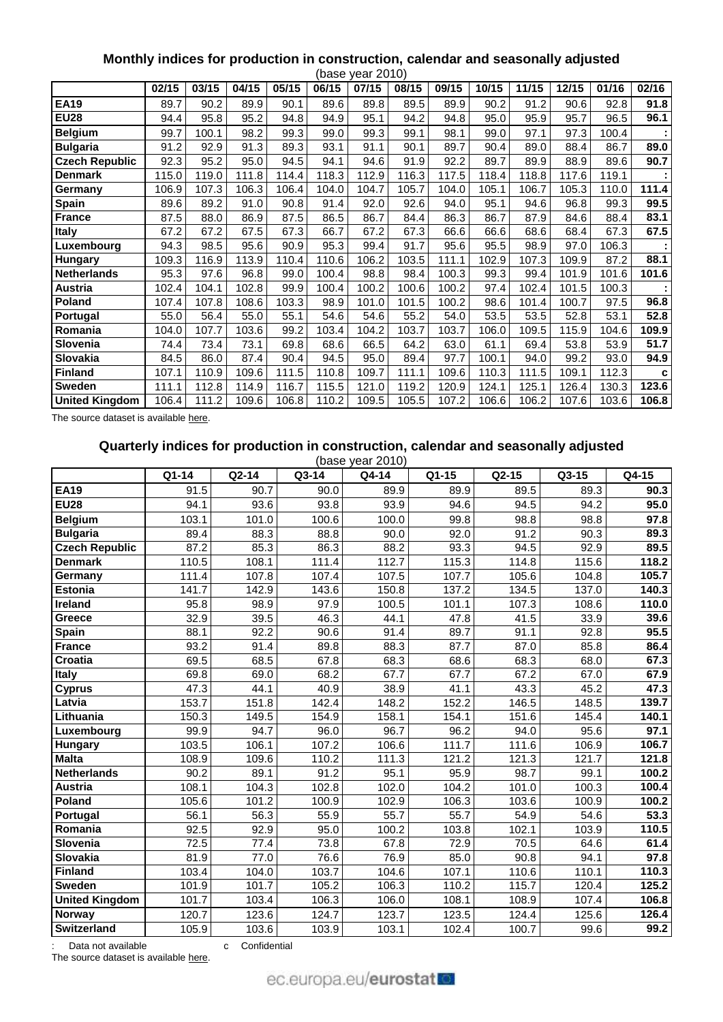# **Monthly indices for production in construction, calendar and seasonally adjusted**

|                       |       |       |       |       |       | (base year 2010) |       |       |       |       |       |       |       |
|-----------------------|-------|-------|-------|-------|-------|------------------|-------|-------|-------|-------|-------|-------|-------|
|                       | 02/15 | 03/15 | 04/15 | 05/15 | 06/15 | 07/15            | 08/15 | 09/15 | 10/15 | 11/15 | 12/15 | 01/16 | 02/16 |
| <b>EA19</b>           | 89.7  | 90.2  | 89.9  | 90.1  | 89.6  | 89.8             | 89.5  | 89.9  | 90.2  | 91.2  | 90.6  | 92.8  | 91.8  |
| <b>EU28</b>           | 94.4  | 95.8  | 95.2  | 94.8  | 94.9  | 95.1             | 94.2  | 94.8  | 95.0  | 95.9  | 95.7  | 96.5  | 96.1  |
| <b>Belgium</b>        | 99.7  | 100.1 | 98.2  | 99.3  | 99.0  | 99.3             | 99.1  | 98.1  | 99.0  | 97.1  | 97.3  | 100.4 |       |
| <b>Bulgaria</b>       | 91.2  | 92.9  | 91.3  | 89.3  | 93.1  | 91.1             | 90.1  | 89.7  | 90.4  | 89.0  | 88.4  | 86.7  | 89.0  |
| <b>Czech Republic</b> | 92.3  | 95.2  | 95.0  | 94.5  | 94.1  | 94.6             | 91.9  | 92.2  | 89.7  | 89.9  | 88.9  | 89.6  | 90.7  |
| <b>Denmark</b>        | 115.0 | 119.0 | 111.8 | 114.4 | 118.3 | 112.9            | 116.3 | 117.5 | 118.4 | 118.8 | 117.6 | 119.1 |       |
| Germany               | 106.9 | 107.3 | 106.3 | 106.4 | 104.0 | 104.7            | 105.7 | 104.0 | 105.1 | 106.7 | 105.3 | 110.0 | 111.4 |
| <b>Spain</b>          | 89.6  | 89.2  | 91.0  | 90.8  | 91.4  | 92.0             | 92.6  | 94.0  | 95.1  | 94.6  | 96.8  | 99.3  | 99.5  |
| <b>France</b>         | 87.5  | 88.0  | 86.9  | 87.5  | 86.5  | 86.7             | 84.4  | 86.3  | 86.7  | 87.9  | 84.6  | 88.4  | 83.1  |
| Italy                 | 67.2  | 67.2  | 67.5  | 67.3  | 66.7  | 67.2             | 67.3  | 66.6  | 66.6  | 68.6  | 68.4  | 67.3  | 67.5  |
| Luxembourg            | 94.3  | 98.5  | 95.6  | 90.9  | 95.3  | 99.4             | 91.7  | 95.6  | 95.5  | 98.9  | 97.0  | 106.3 |       |
| Hungary               | 109.3 | 116.9 | 113.9 | 110.4 | 110.6 | 106.2            | 103.5 | 111.1 | 102.9 | 107.3 | 109.9 | 87.2  | 88.1  |
| <b>Netherlands</b>    | 95.3  | 97.6  | 96.8  | 99.0  | 100.4 | 98.8             | 98.4  | 100.3 | 99.3  | 99.4  | 101.9 | 101.6 | 101.6 |
| Austria               | 102.4 | 104.1 | 102.8 | 99.9  | 100.4 | 100.2            | 100.6 | 100.2 | 97.4  | 102.4 | 101.5 | 100.3 |       |
| <b>Poland</b>         | 107.4 | 107.8 | 108.6 | 103.3 | 98.9  | 101.0            | 101.5 | 100.2 | 98.6  | 101.4 | 100.7 | 97.5  | 96.8  |
| Portugal              | 55.0  | 56.4  | 55.0  | 55.1  | 54.6  | 54.6             | 55.2  | 54.0  | 53.5  | 53.5  | 52.8  | 53.1  | 52.8  |
| Romania               | 104.0 | 107.7 | 103.6 | 99.2  | 103.4 | 104.2            | 103.7 | 103.7 | 106.0 | 109.5 | 115.9 | 104.6 | 109.9 |
| Slovenia              | 74.4  | 73.4  | 73.1  | 69.8  | 68.6  | 66.5             | 64.2  | 63.0  | 61.1  | 69.4  | 53.8  | 53.9  | 51.7  |
| Slovakia              | 84.5  | 86.0  | 87.4  | 90.4  | 94.5  | 95.0             | 89.4  | 97.7  | 100.1 | 94.0  | 99.2  | 93.0  | 94.9  |
| <b>Finland</b>        | 107.1 | 110.9 | 109.6 | 111.5 | 110.8 | 109.7            | 111.1 | 109.6 | 110.3 | 111.5 | 109.1 | 112.3 | C     |
| Sweden                | 111.1 | 112.8 | 114.9 | 116.7 | 115.5 | 121.0            | 119.2 | 120.9 | 124.1 | 125.1 | 126.4 | 130.3 | 123.6 |
| <b>United Kingdom</b> | 106.4 | 111.2 | 109.6 | 106.8 | 110.2 | 109.5            | 105.5 | 107.2 | 106.6 | 106.2 | 107.6 | 103.6 | 106.8 |

The source dataset is available [here.](http://appsso.eurostat.ec.europa.eu/nui/show.do?query=BOOKMARK_DS-069591_QID_-22192B10_UID_-3F171EB0&layout=TIME,C,X,0;GEO,L,Y,0;INDIC_BT,L,Z,0;NACE_R2,L,Z,1;S_ADJ,L,Z,2;UNIT,L,Z,3;INDICATORS,C,Z,4;&zSelection=DS-069591NACE_R2,F;DS-069591INDICATORS,OBS_FLAG;DS-069591S_ADJ,SCA;DS-069591INDIC_BT,PROD;DS-069591UNIT,I10;&rankName1=UNIT_1_2_-1_2&rankName2=INDIC-BT_1_2_-1_2&rankName3=INDICATORS_1_2_-1_2&rankName4=S-ADJ_1_2_-1_2&rankName5=NACE-R2_1_2_-1_2&rankName6=TIME_1_0_0_0&rankName7=GEO_1_2_0_1&sortC=ASC_-1_FIRST&rStp=&cStp=&rDCh=&cDCh=&rDM=true&cDM=true&footnes=false&empty=false&wai=false&time_mode=ROLLING&time_most_recent=true&lang=EN&cfo=%23%23%23%2C%23%23%23.%23%23%23)

# **Quarterly indices for production in construction, calendar and seasonally adjusted**

|                       |       |       |       | (base year 2010) |       |                     |       |       |
|-----------------------|-------|-------|-------|------------------|-------|---------------------|-------|-------|
|                       | Q1-14 | Q2-14 | Q3-14 | Q4-14            | Q1-15 | $Q2-15$             | Q3-15 | Q4-15 |
| <b>EA19</b>           | 91.5  | 90.7  | 90.0  | 89.9             | 89.9  | 89.5                | 89.3  | 90.3  |
| <b>EU28</b>           | 94.1  | 93.6  | 93.8  | 93.9             | 94.6  | 94.5                | 94.2  | 95.0  |
| <b>Belgium</b>        | 103.1 | 101.0 | 100.6 | 100.0            | 99.8  | 98.8                | 98.8  | 97.8  |
| <b>Bulgaria</b>       | 89.4  | 88.3  | 88.8  | 90.0             | 92.0  | 91.2                | 90.3  | 89.3  |
| <b>Czech Republic</b> | 87.2  | 85.3  | 86.3  | 88.2             | 93.3  | 94.5                | 92.9  | 89.5  |
| <b>Denmark</b>        | 110.5 | 108.1 | 111.4 | 112.7            | 115.3 | 114.8               | 115.6 | 118.2 |
| Germany               | 111.4 | 107.8 | 107.4 | 107.5            | 107.7 | 105.6               | 104.8 | 105.7 |
| <b>Estonia</b>        | 141.7 | 142.9 | 143.6 | 150.8            | 137.2 | 134.5               | 137.0 | 140.3 |
| Ireland               | 95.8  | 98.9  | 97.9  | 100.5            | 101.1 | 107.3               | 108.6 | 110.0 |
| Greece                | 32.9  | 39.5  | 46.3  | 44.1             | 47.8  | 41.5                | 33.9  | 39.6  |
| Spain                 | 88.1  | 92.2  | 90.6  | 91.4             | 89.7  | 91.1                | 92.8  | 95.5  |
| <b>France</b>         | 93.2  | 91.4  | 89.8  | 88.3             | 87.7  | 87.0                | 85.8  | 86.4  |
| <b>Croatia</b>        | 69.5  | 68.5  | 67.8  | 68.3             | 68.6  | 68.3                | 68.0  | 67.3  |
| <b>Italy</b>          | 69.8  | 69.0  | 68.2  | 67.7             | 67.7  | 67.2                | 67.0  | 67.9  |
| <b>Cyprus</b>         | 47.3  | 44.1  | 40.9  | 38.9             | 41.1  | 43.3                | 45.2  | 47.3  |
| Latvia                | 153.7 | 151.8 | 142.4 | 148.2            | 152.2 | 146.5               | 148.5 | 139.7 |
| Lithuania             | 150.3 | 149.5 | 154.9 | 158.1            | 154.1 | 151.6               | 145.4 | 140.1 |
| Luxembourg            | 99.9  | 94.7  | 96.0  | 96.7             | 96.2  | 94.0                | 95.6  | 97.1  |
| Hungary               | 103.5 | 106.1 | 107.2 | 106.6            | 111.7 | 111.6               | 106.9 | 106.7 |
| <b>Malta</b>          | 108.9 | 109.6 | 110.2 | 111.3            | 121.2 | 121.3               | 121.7 | 121.8 |
| <b>Netherlands</b>    | 90.2  | 89.1  | 91.2  | 95.1             | 95.9  | 98.7                | 99.1  | 100.2 |
| <b>Austria</b>        | 108.1 | 104.3 | 102.8 | 102.0            | 104.2 | 101.0               | 100.3 | 100.4 |
| Poland                | 105.6 | 101.2 | 100.9 | 102.9            | 106.3 | 103.6               | 100.9 | 100.2 |
| Portugal              | 56.1  | 56.3  | 55.9  | 55.7             | 55.7  | 54.9                | 54.6  | 53.3  |
| Romania               | 92.5  | 92.9  | 95.0  | 100.2            | 103.8 | 102.1               | 103.9 | 110.5 |
| Slovenia              | 72.5  | 77.4  | 73.8  | 67.8             | 72.9  | 70.5                | 64.6  | 61.4  |
| Slovakia              | 81.9  | 77.0  | 76.6  | 76.9             | 85.0  | 90.8                | 94.1  | 97.8  |
| <b>Finland</b>        | 103.4 | 104.0 | 103.7 | 104.6            | 107.1 | 110.6               | 110.1 | 110.3 |
| Sweden                | 101.9 | 101.7 | 105.2 | 106.3            | 110.2 | 115.7               | 120.4 | 125.2 |
| <b>United Kingdom</b> | 101.7 | 103.4 | 106.3 | 106.0            | 108.1 | 108.9               | 107.4 | 106.8 |
| Norway                | 120.7 | 123.6 | 124.7 | 123.7            | 123.5 | $\overline{1}$ 24.4 | 125.6 | 126.4 |
| Switzerland           | 105.9 | 103.6 | 103.9 | 103.1            | 102.4 | 100.7               | 99.6  | 99.2  |

: Data not available confidential

The source dataset is available [here.](http://appsso.eurostat.ec.europa.eu/nui/show.do?query=BOOKMARK_DS-069621_QID_6712CD31_UID_-3F171EB0&layout=TIME,C,X,0;GEO,L,Y,0;INDIC_BT,L,Z,0;NACE_R2,L,Z,1;S_ADJ,L,Z,2;UNIT,L,Z,3;INDICATORS,C,Z,4;&zSelection=DS-069621UNIT,I10;DS-069621S_ADJ,SCA;DS-069621NACE_R2,F;DS-069621INDICATORS,OBS_FLAG;DS-069621INDIC_BT,PROD;&rankName1=UNIT_1_2_-1_2&rankName2=INDIC-BT_1_2_-1_2&rankName3=INDICATORS_1_2_-1_2&rankName4=S-ADJ_1_2_-1_2&rankName5=NACE-R2_1_2_-1_2&rankName6=TIME_1_0_0_0&rankName7=GEO_1_2_0_1&sortC=ASC_-1_FIRST&rStp=&cStp=&rDCh=&cDCh=&rDM=true&cDM=true&footnes=false&empty=false&wai=false&time_mode=ROLLING&time_most_recent=true&lang=EN&cfo=%23%23%23%2C%23%23%23.%23%23%23)